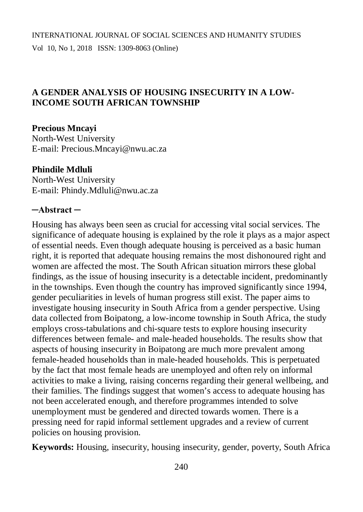# **A GENDER ANALYSIS OF HOUSING INSECURITY IN A LOW-INCOME SOUTH AFRICAN TOWNSHIP**

## **Precious Mncayi**

North-West University E-mail: [Precious.Mncayi@nwu.ac.za](mailto:Precious.Mncayi@nwu.ac.za)

### **Phindile Mdluli**

North-West University E-mail: [Phindy.Mdluli@nwu.ac.za](mailto:Phindy.Mdluli@nwu.ac.za)

## **─Abstract ─**

Housing has always been seen as crucial for accessing vital social services. The significance of adequate housing is explained by the role it plays as a major aspect of essential needs. Even though adequate housing is perceived as a basic human right, it is reported that adequate housing remains the most dishonoured right and women are affected the most. The South African situation mirrors these global findings, as the issue of housing insecurity is a detectable incident, predominantly in the townships. Even though the country has improved significantly since 1994, gender peculiarities in levels of human progress still exist. The paper aims to investigate housing insecurity in South Africa from a gender perspective. Using data collected from Boipatong, a low-income township in South Africa, the study employs cross-tabulations and chi-square tests to explore housing insecurity differences between female- and male-headed households. The results show that aspects of housing insecurity in Boipatong are much more prevalent among female-headed households than in male-headed households. This is perpetuated by the fact that most female heads are unemployed and often rely on informal activities to make a living, raising concerns regarding their general wellbeing, and their families. The findings suggest that women's access to adequate housing has not been accelerated enough, and therefore programmes intended to solve unemployment must be gendered and directed towards women. There is a pressing need for rapid informal settlement upgrades and a review of current policies on housing provision.

**Keywords:** Housing, insecurity, housing insecurity, gender, poverty, South Africa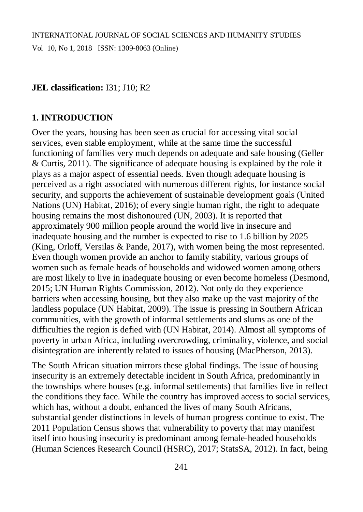## **JEL classification:** I31; J10; R2

## **1. INTRODUCTION**

Over the years, housing has been seen as crucial for accessing vital social services, even stable employment, while at the same time the successful functioning of families very much depends on adequate and safe housing (Geller & Curtis, 2011). The significance of adequate housing is explained by the role it plays as a major aspect of essential needs. Even though adequate housing is perceived as a right associated with numerous different rights, for instance social security, and supports the achievement of sustainable development goals (United Nations (UN) Habitat, 2016); of every single human right, the right to adequate housing remains the most dishonoured (UN, 2003). It is reported that approximately 900 million people around the world live in insecure and inadequate housing and the number is expected to rise to 1.6 billion by 2025 (King, Orloff, Versilas & Pande, 2017), with women being the most represented. Even though women provide an anchor to family stability, various groups of women such as female heads of households and widowed women among others are most likely to live in inadequate housing or even become homeless (Desmond, 2015; UN Human Rights Commission, 2012). Not only do they experience barriers when accessing housing, but they also make up the vast majority of the landless populace (UN Habitat, 2009). The issue is pressing in Southern African communities, with the growth of informal settlements and slums as one of the difficulties the region is defied with (UN Habitat, 2014). Almost all symptoms of poverty in urban Africa, including overcrowding, criminality, violence, and social disintegration are inherently related to issues of housing (MacPherson, 2013).

The South African situation mirrors these global findings. The issue of housing insecurity is an extremely detectable incident in South Africa, predominantly in the townships where houses (e.g. informal settlements) that families live in reflect the conditions they face. While the country has improved access to social services, which has, without a doubt, enhanced the lives of many South Africans, substantial gender distinctions in levels of human progress continue to exist. The 2011 Population Census shows that vulnerability to poverty that may manifest itself into housing insecurity is predominant among female-headed households (Human Sciences Research Council (HSRC), 2017; StatsSA, 2012). In fact, being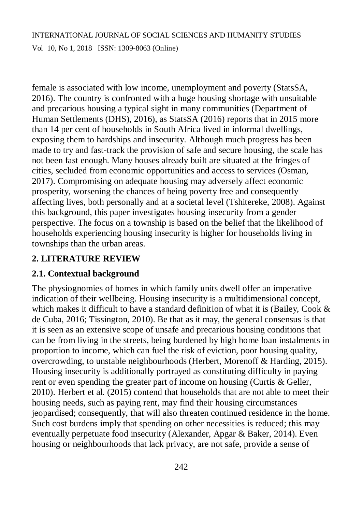Vol 10, No 1, 2018 ISSN: 1309-8063 (Online)

female is associated with low income, unemployment and poverty (StatsSA, 2016). The country is confronted with a huge housing shortage with unsuitable and precarious housing a typical sight in many communities (Department of Human Settlements (DHS), 2016), as StatsSA (2016) reports that in 2015 more than 14 per cent of households in South Africa lived in informal dwellings, exposing them to hardships and insecurity. Although much progress has been made to try and fast-track the provision of safe and secure housing, the scale has not been fast enough. Many houses already built are situated at the fringes of cities, secluded from economic opportunities and access to services (Osman, 2017). Compromising on adequate housing may adversely affect economic prosperity, worsening the chances of being poverty free and consequently affecting lives, both personally and at a societal level (Tshitereke, 2008). Against this background, this paper investigates housing insecurity from a gender perspective. The focus on a township is based on the belief that the likelihood of households experiencing housing insecurity is higher for households living in townships than the urban areas.

# **2. LITERATURE REVIEW**

## **2.1. Contextual background**

The physiognomies of homes in which family units dwell offer an imperative indication of their wellbeing. Housing insecurity is a multidimensional concept, which makes it difficult to have a standard definition of what it is (Bailey, Cook & de Cuba, 2016; Tissington, 2010). Be that as it may, the general consensus is that it is seen as an extensive scope of unsafe and precarious housing conditions that can be from living in the streets, being burdened by high home loan instalments in proportion to income, which can fuel the risk of eviction, poor housing quality, overcrowding, to unstable neighbourhoods (Herbert, Morenoff & Harding, 2015). Housing insecurity is additionally portrayed as constituting difficulty in paying rent or even spending the greater part of income on housing (Curtis & Geller, 2010). Herbert et al. (2015) contend that households that are not able to meet their housing needs, such as paying rent, may find their housing circumstances jeopardised; consequently, that will also threaten continued residence in the home. Such cost burdens imply that spending on other necessities is reduced; this may eventually perpetuate food insecurity (Alexander, Apgar & Baker, 2014). Even housing or neighbourhoods that lack privacy, are not safe, provide a sense of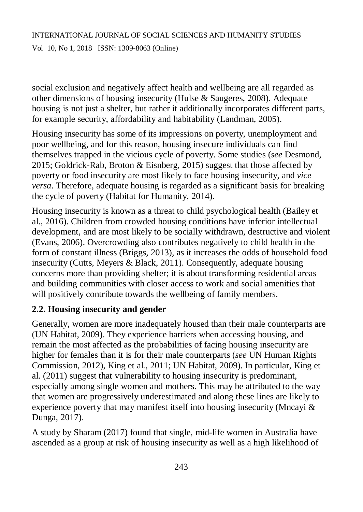Vol 10, No 1, 2018 ISSN: 1309-8063 (Online)

social exclusion and negatively affect health and wellbeing are all regarded as other dimensions of housing insecurity (Hulse & Saugeres, 2008). Adequate housing is not just a shelter, but rather it additionally incorporates different parts, for example security, affordability and habitability (Landman, 2005).

Housing insecurity has some of its impressions on poverty, unemployment and poor wellbeing, and for this reason, housing insecure individuals can find themselves trapped in the vicious cycle of poverty. Some studies (*see* Desmond, 2015; Goldrick-Rab*,* Broton & Eisnberg, 2015) suggest that those affected by poverty or food insecurity are most likely to face housing insecurity, and *vice versa*. Therefore, adequate housing is regarded as a significant basis for breaking the cycle of poverty (Habitat for Humanity, 2014).

Housing insecurity is known as a threat to child psychological health (Bailey et al., 2016). Children from crowded housing conditions have inferior intellectual development, and are most likely to be socially withdrawn, destructive and violent (Evans, 2006). Overcrowding also contributes negatively to child health in the form of constant illness (Briggs, 2013), as it increases the odds of household food insecurity (Cutts*,* Meyers & Black, 2011). Consequently, adequate housing concerns more than providing shelter; it is about transforming residential areas and building communities with closer access to work and social amenities that will positively contribute towards the wellbeing of family members.

# **2.2. Housing insecurity and gender**

Generally, women are more inadequately housed than their male counterparts are (UN Habitat, 2009). They experience barriers when accessing housing, and remain the most affected as the probabilities of facing housing insecurity are higher for females than it is for their male counterparts (*see* UN Human Rights Commission, 2012), King et al*.*, 2011; UN Habitat, 2009). In particular, King et al. (2011) suggest that vulnerability to housing insecurity is predominant, especially among single women and mothers. This may be attributed to the way that women are progressively underestimated and along these lines are likely to experience poverty that may manifest itself into housing insecurity (Mncayi & Dunga, 2017).

A study by Sharam (2017) found that single, mid-life women in Australia have ascended as a group at risk of housing insecurity as well as a high likelihood of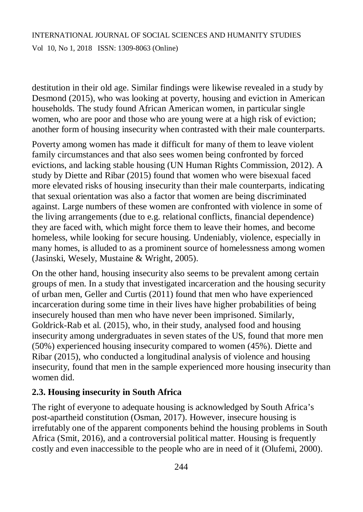# INTERNATIONAL JOURNAL OF SOCIAL SCIENCES AND HUMANITY STUDIES Vol 10, No 1, 2018 ISSN: 1309-8063 (Online)

destitution in their old age. Similar findings were likewise revealed in a study by Desmond (2015), who was looking at poverty, housing and eviction in American households. The study found African American women, in particular single women, who are poor and those who are young were at a high risk of eviction; another form of housing insecurity when contrasted with their male counterparts.

Poverty among women has made it difficult for many of them to leave violent family circumstances and that also sees women being confronted by forced evictions, and lacking stable housing (UN Human Rights Commission, 2012). A study by Diette and Ribar (2015) found that women who were bisexual faced more elevated risks of housing insecurity than their male counterparts, indicating that sexual orientation was also a factor that women are being discriminated against. Large numbers of these women are confronted with violence in some of the living arrangements (due to e.g. relational conflicts, financial dependence) they are faced with, which might force them to leave their homes, and become homeless, while looking for secure housing. Undeniably, violence, especially in many homes, is alluded to as a prominent source of homelessness among women (Jasinski, Wesely, Mustaine & Wright, 2005).

On the other hand, housing insecurity also seems to be prevalent among certain groups of men. In a study that investigated incarceration and the housing security of urban men, Geller and Curtis (2011) found that men who have experienced incarceration during some time in their lives have higher probabilities of being insecurely housed than men who have never been imprisoned. Similarly, Goldrick-Rab et al. (2015), who, in their study, analysed food and housing insecurity among undergraduates in seven states of the US, found that more men (50%) experienced housing insecurity compared to women (45%). Diette and Ribar (2015), who conducted a longitudinal analysis of violence and housing insecurity, found that men in the sample experienced more housing insecurity than women did.

# **2.3. Housing insecurity in South Africa**

The right of everyone to adequate housing is acknowledged by South Africa's post-apartheid constitution (Osman, 2017). However, insecure housing is irrefutably one of the apparent components behind the housing problems in South Africa (Smit, 2016), and a controversial political matter. Housing is frequently costly and even inaccessible to the people who are in need of it (Olufemi, 2000).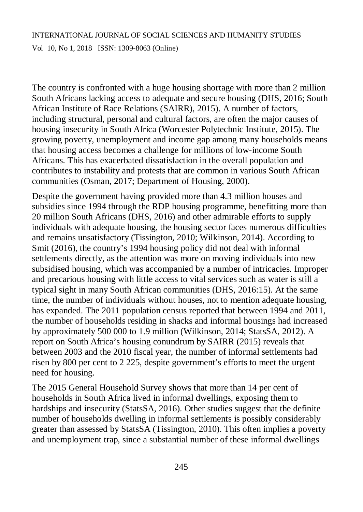Vol 10, No 1, 2018 ISSN: 1309-8063 (Online)

The country is confronted with a huge housing shortage with more than 2 million South Africans lacking access to adequate and secure housing (DHS, 2016; South African Institute of Race Relations (SAIRR), 2015). A number of factors, including structural, personal and cultural factors, are often the major causes of housing insecurity in South Africa (Worcester Polytechnic Institute, 2015). The growing poverty, unemployment and income gap among many households means that housing access becomes a challenge for millions of low-income South Africans. This has exacerbated dissatisfaction in the overall population and contributes to instability and protests that are common in various South African communities (Osman, 2017; Department of Housing, 2000).

Despite the government having provided more than 4.3 million houses and subsidies since 1994 through the RDP housing programme, benefitting more than 20 million South Africans (DHS, 2016) and other admirable efforts to supply individuals with adequate housing, the housing sector faces numerous difficulties and remains unsatisfactory (Tissington, 2010; Wilkinson, 2014). According to Smit (2016), the country's 1994 housing policy did not deal with informal settlements directly, as the attention was more on moving individuals into new subsidised housing, which was accompanied by a number of intricacies. Improper and precarious housing with little access to vital services such as water is still a typical sight in many South African communities (DHS, 2016:15). At the same time, the number of individuals without houses, not to mention adequate housing, has expanded. The 2011 population census reported that between 1994 and 2011, the number of households residing in shacks and informal housings had increased by approximately 500 000 to 1.9 million (Wilkinson, 2014; StatsSA, 2012). A report on South Africa's housing conundrum by SAIRR (2015) reveals that between 2003 and the 2010 fiscal year, the number of informal settlements had risen by 800 per cent to 2 225, despite government's efforts to meet the urgent need for housing.

The 2015 General Household Survey shows that more than 14 per cent of households in South Africa lived in informal dwellings, exposing them to hardships and insecurity (StatsSA, 2016). Other studies suggest that the definite number of households dwelling in informal settlements is possibly considerably greater than assessed by StatsSA (Tissington, 2010). This often implies a poverty and unemployment trap, since a substantial number of these informal dwellings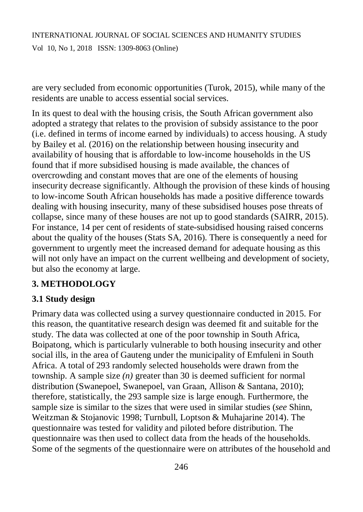# INTERNATIONAL JOURNAL OF SOCIAL SCIENCES AND HUMANITY STUDIES Vol 10, No 1, 2018 ISSN: 1309-8063 (Online)

are very secluded from economic opportunities (Turok, 2015), while many of the residents are unable to access essential social services.

In its quest to deal with the housing crisis, the South African government also adopted a strategy that relates to the provision of subsidy assistance to the poor (i.e. defined in terms of income earned by individuals) to access housing. A study by Bailey et al. (2016) on the relationship between housing insecurity and availability of housing that is affordable to low-income households in the US found that if more subsidised housing is made available, the chances of overcrowding and constant moves that are one of the elements of housing insecurity decrease significantly. Although the provision of these kinds of housing to low-income South African households has made a positive difference towards dealing with housing insecurity, many of these subsidised houses pose threats of collapse, since many of these houses are not up to good standards (SAIRR, 2015). For instance, 14 per cent of residents of state-subsidised housing raised concerns about the quality of the houses (Stats SA, 2016). There is consequently a need for government to urgently meet the increased demand for adequate housing as this will not only have an impact on the current wellbeing and development of society, but also the economy at large.

## **3. METHODOLOGY**

## **3.1 Study design**

Primary data was collected using a survey questionnaire conducted in 2015. For this reason, the quantitative research design was deemed fit and suitable for the study. The data was collected at one of the poor township in South Africa, Boipatong, which is particularly vulnerable to both housing insecurity and other social ills, in the area of Gauteng under the municipality of Emfuleni in South Africa. A total of 293 randomly selected households were drawn from the township. A sample size *(n)* greater than 30 is deemed sufficient for normal distribution (Swanepoel, Swanepoel, van Graan, Allison & Santana, 2010); therefore, statistically, the 293 sample size is large enough. Furthermore, the sample size is similar to the sizes that were used in similar studies (*see* Shinn, Weitzman & Stojanovic 1998; Turnbull, Loptson & Muhajarine 2014). The questionnaire was tested for validity and piloted before distribution. The questionnaire was then used to collect data from the heads of the households. Some of the segments of the questionnaire were on attributes of the household and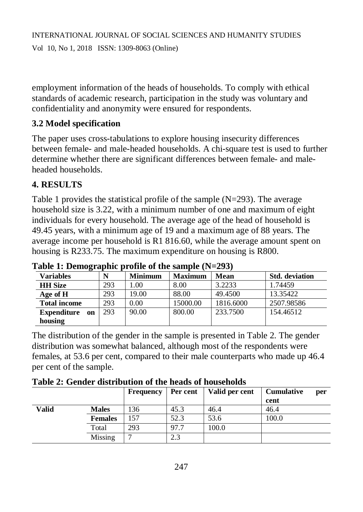employment information of the heads of households. To comply with ethical standards of academic research, participation in the study was voluntary and confidentiality and anonymity were ensured for respondents.

# **3.2 Model specification**

The paper uses cross-tabulations to explore housing insecurity differences between female- and male-headed households. A chi-square test is used to further determine whether there are significant differences between female- and maleheaded households.

# **4. RESULTS**

Table 1 provides the statistical profile of the sample  $(N=293)$ . The average household size is 3.22, with a minimum number of one and maximum of eight individuals for every household. The average age of the head of household is 49.45 years, with a minimum age of 19 and a maximum age of 88 years. The average income per household is R1 816.60, while the average amount spent on housing is R233.75. The maximum expenditure on housing is R800.

| <b>Variables</b>         |     | <b>Minimum</b> | <b>Maximum</b> | <b>Mean</b> | <b>Std.</b> deviation |
|--------------------------|-----|----------------|----------------|-------------|-----------------------|
| <b>HH</b> Size           | 293 | 00.1           | 8.00           | 3.2233      | 1.74459               |
| Age of H                 | 293 | 19.00          | 88.00          | 49.4500     | 13.35422              |
| <b>Total income</b>      | 293 | 0.00           | 15000.00       | 1816.6000   | 2507.98586            |
| <b>Expenditure</b><br>on | 293 | 90.00          | 800.00         | 233,7500    | 154.46512             |
| housing                  |     |                |                |             |                       |

**Table 1: Demographic profile of the sample (N=293)**

The distribution of the gender in the sample is presented in Table 2. The gender distribution was somewhat balanced, although most of the respondents were females, at 53.6 per cent, compared to their male counterparts who made up 46.4 per cent of the sample.

|  |  |  |  |  | Table 2: Gender distribution of the heads of households |
|--|--|--|--|--|---------------------------------------------------------|
|--|--|--|--|--|---------------------------------------------------------|

|       |                | <b>Frequency</b> | Per cent | Valid per cent | <b>Cumulative</b><br>cent | per |
|-------|----------------|------------------|----------|----------------|---------------------------|-----|
| Valid | <b>Males</b>   | 136              | 45.3     | 46.4           | 46.4                      |     |
|       | <b>Females</b> | 157              | 52.3     | 53.6           | 100.0                     |     |
|       | Total          | 293              | 97.7     | 100.0          |                           |     |
|       | Missing        | $\mathbf{r}$     | 2.3      |                |                           |     |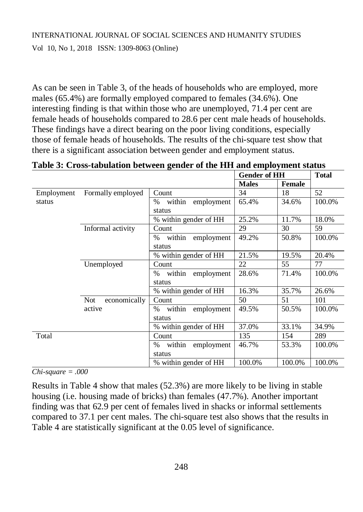As can be seen in Table 3, of the heads of households who are employed, more males (65.4%) are formally employed compared to females (34.6%). One interesting finding is that within those who are unemployed, 71.4 per cent are female heads of households compared to 28.6 per cent male heads of households. These findings have a direct bearing on the poor living conditions, especially those of female heads of households. The results of the chi-square test show that there is a significant association between gender and employment status.

|            |                     |                              | <b>Gender of HH</b> |               | <b>Total</b> |  |
|------------|---------------------|------------------------------|---------------------|---------------|--------------|--|
|            |                     |                              | <b>Males</b>        | <b>Female</b> |              |  |
| Employment | Formally employed   | Count                        | 34                  | 18            | 52           |  |
| status     |                     | within<br>employment<br>%    | 65.4%               | 34.6%         | 100.0%       |  |
|            |                     | status                       |                     |               |              |  |
|            |                     | % within gender of HH        | 25.2%               | 11.7%         | 18.0%        |  |
|            | Informal activity   | Count                        | 29                  | 30            | 59           |  |
|            |                     | within<br>employment<br>$\%$ | 49.2%               | 50.8%         | 100.0%       |  |
|            |                     | status                       |                     |               |              |  |
|            |                     | % within gender of HH        | 21.5%               | 19.5%         | 20.4%        |  |
|            | Unemployed          | Count                        | 22                  | 55            | 77           |  |
|            |                     | within<br>$\%$<br>employment | 28.6%               | 71.4%         | 100.0%       |  |
|            |                     | status                       |                     |               |              |  |
|            |                     | % within gender of HH        | 16.3%               | 35.7%         | 26.6%        |  |
|            | economically<br>Not | Count                        | 50                  | 51            | 101          |  |
|            | active              | within employment<br>%       | 49.5%               | 50.5%         | 100.0%       |  |
|            |                     | status                       |                     |               |              |  |
|            |                     | % within gender of HH        | 37.0%               | 33.1%         | 34.9%        |  |
| Total      |                     | Count                        | 135                 | 154           | 289          |  |
|            |                     | within<br>employment<br>$\%$ | 46.7%               | 53.3%         | 100.0%       |  |
|            |                     | status                       |                     |               |              |  |
|            |                     | % within gender of HH        | 100.0%              | 100.0%        | 100.0%       |  |

**Table 3: Cross-tabulation between gender of the HH and employment status**

*Chi-square = .000*

Results in Table 4 show that males (52.3%) are more likely to be living in stable housing (i.e. housing made of bricks) than females (47.7%). Another important finding was that 62.9 per cent of females lived in shacks or informal settlements compared to 37.1 per cent males. The chi-square test also shows that the results in Table 4 are statistically significant at the 0.05 level of significance.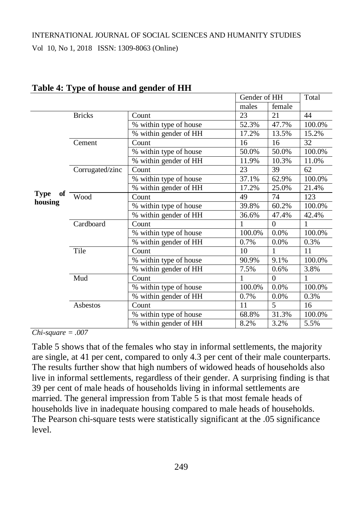Vol 10, No 1, 2018 ISSN: 1309-8063 (Online)

|                   |                 |                        | Gender of HH |          | Total  |
|-------------------|-----------------|------------------------|--------------|----------|--------|
|                   |                 |                        | males        | female   |        |
|                   | <b>Bricks</b>   | Count                  | 23           | 21       | 44     |
|                   |                 | % within type of house | 52.3%        | 47.7%    | 100.0% |
|                   |                 | % within gender of HH  | 17.2%        | 13.5%    | 15.2%  |
|                   | Cement          | Count                  | 16           | 16       | 32     |
|                   |                 | % within type of house | 50.0%        | 50.0%    | 100.0% |
|                   |                 | % within gender of HH  | 11.9%        | 10.3%    | 11.0%  |
|                   | Corrugated/zinc | Count                  | 23           | 39       | 62     |
|                   |                 | % within type of house | 37.1%        | 62.9%    | 100.0% |
|                   |                 | % within gender of HH  | 17.2%        | 25.0%    | 21.4%  |
| <b>Type</b><br>оf | Wood            | Count                  | 49           | 74       | 123    |
| housing           |                 | % within type of house | 39.8%        | 60.2%    | 100.0% |
|                   |                 | % within gender of HH  | 36.6%        | 47.4%    | 42.4%  |
|                   | Cardboard       | Count                  | 1            | $\theta$ | 1      |
|                   |                 | % within type of house | 100.0%       | 0.0%     | 100.0% |
|                   |                 | % within gender of HH  | 0.7%         | 0.0%     | 0.3%   |
|                   | Tile            | Count                  | 10           | 1        | 11     |
|                   |                 | % within type of house | 90.9%        | 9.1%     | 100.0% |
|                   |                 | % within gender of HH  | 7.5%         | 0.6%     | 3.8%   |
|                   | Mud             | Count                  | 1            | $\theta$ | 1      |
|                   |                 | % within type of house | 100.0%       | 0.0%     | 100.0% |
|                   |                 | % within gender of HH  | 0.7%         | 0.0%     | 0.3%   |
|                   | Asbestos        | Count                  | 11           | 5        | 16     |
|                   |                 | % within type of house | 68.8%        | 31.3%    | 100.0% |
|                   |                 | % within gender of HH  | 8.2%         | 3.2%     | 5.5%   |

#### **Table 4: Type of house and gender of HH**

*Chi-square = .007*

Table 5 shows that of the females who stay in informal settlements, the majority are single, at 41 per cent, compared to only 4.3 per cent of their male counterparts. The results further show that high numbers of widowed heads of households also live in informal settlements, regardless of their gender. A surprising finding is that 39 per cent of male heads of households living in informal settlements are married. The general impression from Table 5 is that most female heads of households live in inadequate housing compared to male heads of households. The Pearson chi-square tests were statistically significant at the .05 significance level.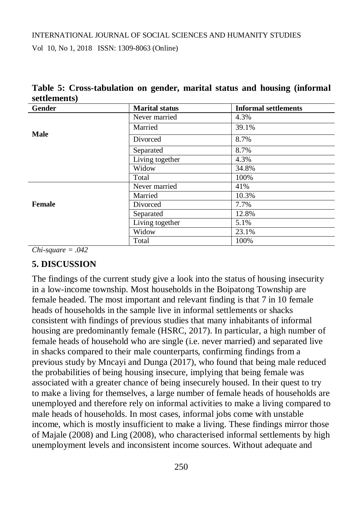Vol 10, No 1, 2018 ISSN: 1309-8063 (Online)

| Gender      | <b>Marital status</b> | <b>Informal settlements</b> |
|-------------|-----------------------|-----------------------------|
|             | Never married         | 4.3%                        |
| <b>Male</b> | Married               | 39.1%                       |
|             | Divorced              | 8.7%                        |
|             | Separated             | 8.7%                        |
|             | Living together       | 4.3%                        |
|             | Widow                 | 34.8%                       |
|             | Total                 | 100%                        |
|             | Never married         | 41%                         |
|             | Married               | 10.3%                       |
| Female      | Divorced              | 7.7%                        |
|             | Separated             | 12.8%                       |
|             | Living together       | 5.1%                        |
|             | Widow                 | 23.1%                       |
|             | Total                 | 100%                        |

**Table 5: Cross-tabulation on gender, marital status and housing (informal settlements)**

*Chi-square = .042*

### **5. DISCUSSION**

The findings of the current study give a look into the status of housing insecurity in a low-income township. Most households in the Boipatong Township are female headed. The most important and relevant finding is that 7 in 10 female heads of households in the sample live in informal settlements or shacks consistent with findings of previous studies that many inhabitants of informal housing are predominantly female (HSRC, 2017). In particular, a high number of female heads of household who are single (i.e. never married) and separated live in shacks compared to their male counterparts, confirming findings from a previous study by Mncayi and Dunga (2017), who found that being male reduced the probabilities of being housing insecure, implying that being female was associated with a greater chance of being insecurely housed. In their quest to try to make a living for themselves, a large number of female heads of households are unemployed and therefore rely on informal activities to make a living compared to male heads of households. In most cases, informal jobs come with unstable income, which is mostly insufficient to make a living. These findings mirror those of Majale (2008) and Ling (2008), who characterised informal settlements by high unemployment levels and inconsistent income sources. Without adequate and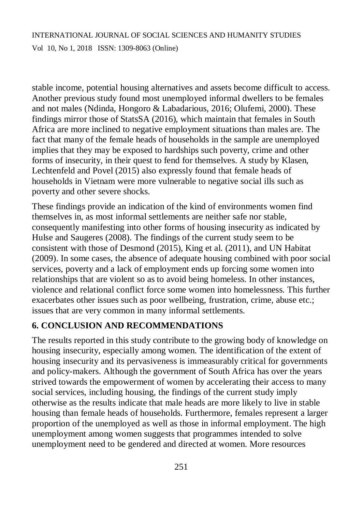Vol 10, No 1, 2018 ISSN: 1309-8063 (Online)

stable income, potential housing alternatives and assets become difficult to access. Another previous study found most unemployed informal dwellers to be females and not males (Ndinda, Hongoro & Labadarious, 2016; Olufemi, 2000). These findings mirror those of StatsSA (2016), which maintain that females in South Africa are more inclined to negative employment situations than males are. The fact that many of the female heads of households in the sample are unemployed implies that they may be exposed to hardships such poverty, crime and other forms of insecurity, in their quest to fend for themselves. A study by Klasen, Lechtenfeld and Povel (2015) also expressly found that female heads of households in Vietnam were more vulnerable to negative social ills such as poverty and other severe shocks.

These findings provide an indication of the kind of environments women find themselves in, as most informal settlements are neither safe nor stable, consequently manifesting into other forms of housing insecurity as indicated by Hulse and Saugeres (2008). The findings of the current study seem to be consistent with those of Desmond (2015), King et al. (2011), and UN Habitat (2009). In some cases, the absence of adequate housing combined with poor social services, poverty and a lack of employment ends up forcing some women into relationships that are violent so as to avoid being homeless. In other instances, violence and relational conflict force some women into homelessness. This further exacerbates other issues such as poor wellbeing, frustration, crime, abuse etc.; issues that are very common in many informal settlements.

# **6. CONCLUSION AND RECOMMENDATIONS**

The results reported in this study contribute to the growing body of knowledge on housing insecurity, especially among women. The identification of the extent of housing insecurity and its pervasiveness is immeasurably critical for governments and policy-makers. Although the government of South Africa has over the years strived towards the empowerment of women by accelerating their access to many social services, including housing, the findings of the current study imply otherwise as the results indicate that male heads are more likely to live in stable housing than female heads of households. Furthermore, females represent a larger proportion of the unemployed as well as those in informal employment. The high unemployment among women suggests that programmes intended to solve unemployment need to be gendered and directed at women. More resources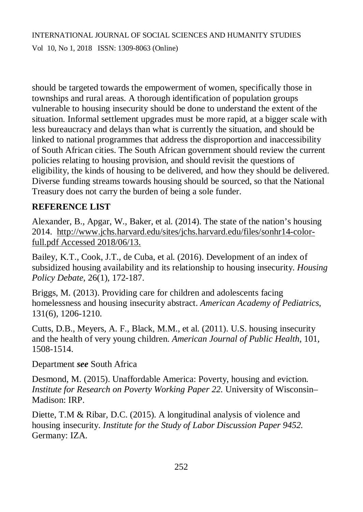Vol 10, No 1, 2018 ISSN: 1309-8063 (Online)

should be targeted towards the empowerment of women, specifically those in townships and rural areas. A thorough identification of population groups vulnerable to housing insecurity should be done to understand the extent of the situation. Informal settlement upgrades must be more rapid, at a bigger scale with less bureaucracy and delays than what is currently the situation, and should be linked to national programmes that address the disproportion and inaccessibility of South African cities. The South African government should review the current policies relating to housing provision, and should revisit the questions of eligibility, the kinds of housing to be delivered, and how they should be delivered. Diverse funding streams towards housing should be sourced, so that the National Treasury does not carry the burden of being a sole funder.

## **REFERENCE LIST**

Alexander, B., Apgar, W., Baker, et al. (2014). The state of the nation's housing 2014. [http://www.jchs.harvard.edu/sites/jchs.harvard.edu/files/sonhr14-color](http://www.jchs.harvard.edu/sites/jchs.harvard.edu/files/sonhr14-color-)full.pdf Accessed 2018/06/13.

Bailey, K.T., Cook, J.T., de Cuba, et al. (2016). Development of an index of subsidized housing availability and its relationship to housing insecurity. *Housing Policy Debate*, 26(1), 172-187.

Briggs, M. (2013). Providing care for children and adolescents facing homelessness and housing insecurity abstract. *American Academy of Pediatrics*, 131(6), 1206-1210.

Cutts, D.B., Meyers, A. F., Black, M.M., et al. (2011). U.S. housing insecurity and the health of very young children. *American Journal of Public Health*, 101, 1508-1514.

Department *see* South Africa

Desmond, M. (2015). Unaffordable America: Poverty, housing and eviction. *Institute for Research on Poverty Working Paper 22.* University of Wisconsin– Madison: IRP.

Diette, T.M & Ribar, D.C. (2015). A longitudinal analysis of violence and housing insecurity. *Institute for the Study of Labor Discussion Paper 9452.* Germany: IZA.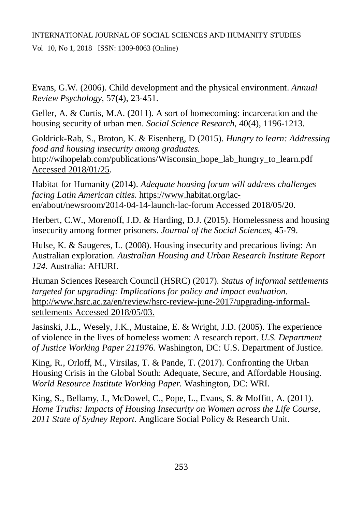Vol 10, No 1, 2018 ISSN: 1309-8063 (Online)

Evans, G.W. (2006). Child development and the physical environment. *Annual Review Psychology*, 57(4), 23-451.

Geller, A. & Curtis, M.A. (2011). A sort of homecoming: incarceration and the housing security of urban men. *Social Science Research*, 40(4), 1196-1213.

Goldrick-Rab, S., Broton, K. & Eisenberg, D (2015). *Hungry to learn: Addressing food and housing insecurity among graduates.* [http://wihopelab.com/publications/Wisconsin\\_hope\\_lab\\_hungry\\_to\\_learn.pdf](http://wihopelab.com/publications/Wisconsin_hope_lab_hungry_to_learn.pdf) Accessed 2018/01/25.

Habitat for Humanity (2014). *Adequate housing forum will address challenges facing Latin American cities*. [https://www.habitat.org/lac](https://www.habitat.org/lac-)en/about/newsroom/2014-04-14-launch-lac-forum Accessed 2018/05/20.

Herbert, C.W., Morenoff, J.D. & Harding, D.J. (2015). Homelessness and housing insecurity among former prisoners. *Journal of the Social Sciences*, 45-79.

Hulse, K. & Saugeres, L. (2008). Housing insecurity and precarious living: An Australian exploration. *Australian Housing and Urban Research Institute Report 124*. Australia: AHURI.

Human Sciences Research Council (HSRC) (2017). *Status of informal settlements targeted for upgrading: Implications for policy and impact evaluation.* [http://www.hsrc.ac.za/en/review/hsrc-review-june-2017/upgrading-informal](http://www.hsrc.ac.za/en/review/hsrc-review-june-2017/upgrading-informal-)settlements Accessed 2018/05/03.

Jasinski, J.L., Wesely, J.K., Mustaine, E. & Wright, J.D. (2005). The experience of violence in the lives of homeless women: A research report. *U.S. Department of Justice Working Paper 211976.* Washington, DC: U.S. Department of Justice.

King, R., Orloff, M., Virsilas, T. & Pande, T. (2017). Confronting the Urban Housing Crisis in the Global South: Adequate, Secure, and Affordable Housing. *World Resource Institute Working Paper.* Washington, DC: WRI.

King, S., Bellamy, J., McDowel, C., Pope, L., Evans, S. & Moffitt, A. (2011). *Home Truths: Impacts of Housing Insecurity on Women across the Life Course, 2011 State of Sydney Report*. Anglicare Social Policy & Research Unit.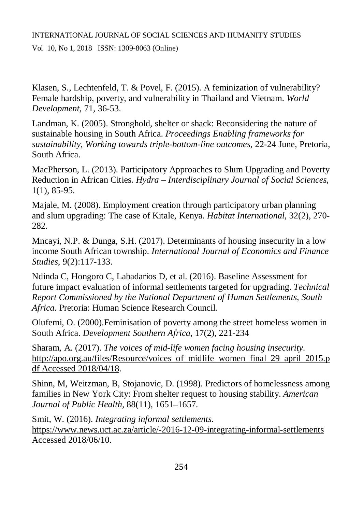Vol 10, No 1, 2018 ISSN: 1309-8063 (Online)

Klasen, S., Lechtenfeld, T. & Povel, F. (2015). A feminization of vulnerability? Female hardship, poverty, and vulnerability in Thailand and Vietnam. *World Development*, 71, 36-53.

Landman, K. (2005). Stronghold, shelter or shack: Reconsidering the nature of sustainable housing in South Africa. *Proceedings Enabling frameworks for sustainability, Working towards triple-bottom-line outcomes*, 22-24 June, Pretoria, South Africa.

MacPherson, L. (2013). Participatory Approaches to Slum Upgrading and Poverty Reduction in African Cities. *Hydra – Interdisciplinary Journal of Social Sciences*, 1(1), 85-95.

Majale, M. (2008). Employment creation through participatory urban planning and slum upgrading: The case of Kitale, Kenya. *Habitat International*, 32(2), 270- 282.

Mncayi, N.P. & Dunga, S.H. (2017). Determinants of housing insecurity in a low income South African township. *International Journal of Economics and Finance Studies*, 9(2):117-133.

Ndinda C, Hongoro C, Labadarios D, et al. (2016). Baseline Assessment for future impact evaluation of informal settlements targeted for upgrading. *Technical Report Commissioned by the National Department of Human Settlements, South Africa*. Pretoria: Human Science Research Council.

Olufemi, O. (2000).Feminisation of poverty among the street homeless women in South Africa. *Development Southern Africa*, 17(2), 221-234

Sharam, A. (2017). *The voices of mid-life women facing housing insecurity*. http://apo.org.au/files/Resource/voices of midlife women final 29 april 2015.p df Accessed 2018/04/18.

Shinn, M, Weitzman, B, Stojanovic, D. (1998). Predictors of homelessness among families in New York City: From shelter request to housing stability. *American Journal of Public Health,* 88(11), 1651–1657.

Smit, W. (2016). *Integrating informal settlements*. <https://www.news.uct.ac.za/article/-2016-12-09-integrating-informal-settlements> Accessed 2018/06/10.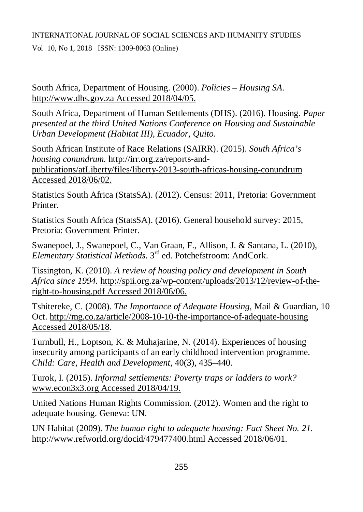Vol 10, No 1, 2018 ISSN: 1309-8063 (Online)

South Africa, Department of Housing. (2000). *Policies – Housing SA.*  <http://www.dhs.gov.za> Accessed 2018/04/05.

South Africa, Department of Human Settlements (DHS). (2016). Housing. *Paper presented at the third United Nations Conference on Housing and Sustainable Urban Development (Habitat III), Ecuador, Quito.*

South African Institute of Race Relations (SAIRR). (2015). *South Africa's housing conundrum.* [http://irr.org.za/reports-and](http://irr.org.za/reports-and-)publications/atLiberty/files/liberty-2013-south-africas-housing-conundrum Accessed 2018/06/02.

Statistics South Africa (StatsSA). (2012). Census: 2011, Pretoria: Government Printer.

Statistics South Africa (StatsSA). (2016). General household survey: 2015, Pretoria: Government Printer.

Swanepoel, J., Swanepoel, C., Van Graan, F., Allison, J. & Santana, L. (2010), *Elementary Statistical Methods*. 3rd ed. Potchefstroom: AndCork.

Tissington, K. (2010). *A review of housing policy and development in South Africa since 1994.* [http://spii.org.za/wp-content/uploads/2013/12/review-of-the](http://spii.org.za/wp-content/uploads/2013/12/review-of-the-)right-to-housing.pdf Accessed 2018/06/06.

Tshitereke, C. (2008). *The Importance of Adequate Housing*, Mail & Guardian, 10 Oct. <http://mg.co.za/article/2008-10-10-the-importance-of-adequate-housing> Accessed 2018/05/18.

Turnbull, H., Loptson, K. & Muhajarine, N. (2014). Experiences of housing insecurity among participants of an early childhood intervention programme. *Child: Care, Health and Development,* 40(3), 435–440.

Turok, I. (2015). *Informal settlements: Poverty traps or ladders to work?*  [www.econ3x3.org](http://www.econ3x3.org) Accessed 2018/04/19.

United Nations Human Rights Commission. (2012). Women and the right to adequate housing. Geneva: UN.

UN Habitat (2009). *The human right to adequate housing: Fact Sheet No. 21*. <http://www.refworld.org/docid/479477400.html>Accessed 2018/06/01.